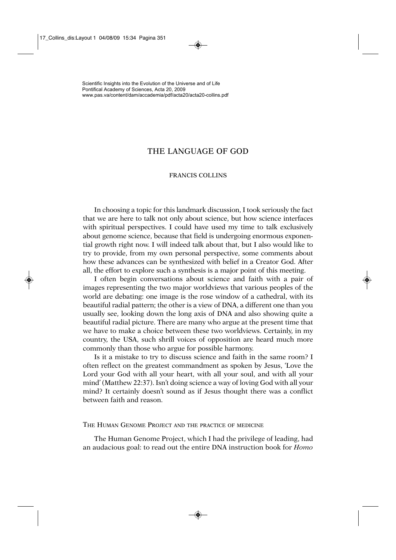## THE LANGUAGE OF GOD

## FRANCIS COLLINS

In choosing a topic for this landmark discussion, I took seriously the fact that we are here to talk not only about science, but how science interfaces with spiritual perspectives. I could have used my time to talk exclusively about genome science, because that field is undergoing enormous exponential growth right now. I will indeed talk about that, but I also would like to try to provide, from my own personal perspective, some comments about how these advances can be synthesized with belief in a Creator God. After all, the effort to explore such a synthesis is a major point of this meeting.

I often begin conversations about science and faith with a pair of images representing the two major worldviews that various peoples of the world are debating: one image is the rose window of a cathedral, with its beautiful radial pattern; the other is a view of DNA, a different one than you usually see, looking down the long axis of DNA and also showing quite a beautiful radial picture. There are many who argue at the present time that we have to make a choice between these two worldviews. Certainly, in my country, the USA, such shrill voices of opposition are heard much more commonly than those who argue for possible harmony.

Is it a mistake to try to discuss science and faith in the same room? I often reflect on the greatest commandment as spoken by Jesus, 'Love the Lord your God with all your heart, with all your soul, and with all your mind' (Matthew 22:37). Isn't doing science a way of loving God with all your mind? It certainly doesn't sound as if Jesus thought there was a conflict between faith and reason.

THE HUMAN GENOME PROJECT AND THE PRACTICE OF MEDICINE

The Human Genome Project, which I had the privilege of leading, had an audacious goal: to read out the entire DNA instruction book for *Homo*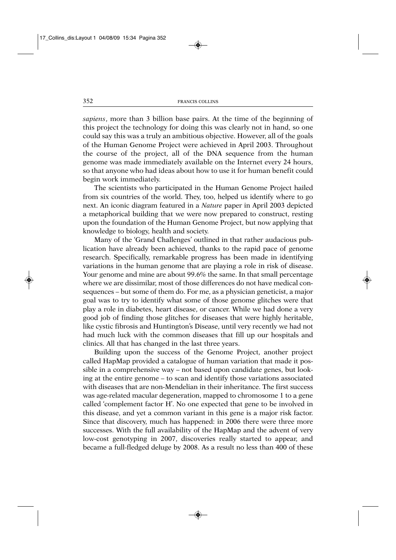*sapiens*, more than 3 billion base pairs. At the time of the beginning of this project the technology for doing this was clearly not in hand, so one could say this was a truly an ambitious objective. However, all of the goals of the Human Genome Project were achieved in April 2003. Throughout the course of the project, all of the DNA sequence from the human genome was made immediately available on the Internet every 24 hours, so that anyone who had ideas about how to use it for human benefit could begin work immediately.

The scientists who participated in the Human Genome Project hailed from six countries of the world. They, too, helped us identify where to go next. An iconic diagram featured in a *Nature* paper in April 2003 depicted a metaphorical building that we were now prepared to construct, resting upon the foundation of the Human Genome Project, but now applying that knowledge to biology, health and society.

Many of the 'Grand Challenges' outlined in that rather audacious publication have already been achieved, thanks to the rapid pace of genome research. Specifically, remarkable progress has been made in identifying variations in the human genome that are playing a role in risk of disease. Your genome and mine are about 99.6% the same. In that small percentage where we are dissimilar, most of those differences do not have medical consequences – but some of them do. For me, as a physician geneticist, a major goal was to try to identify what some of those genome glitches were that play a role in diabetes, heart disease, or cancer. While we had done a very good job of finding those glitches for diseases that were highly heritable, like cystic fibrosis and Huntington's Disease, until very recently we had not had much luck with the common diseases that fill up our hospitals and clinics. All that has changed in the last three years.

Building upon the success of the Genome Project, another project called HapMap provided a catalogue of human variation that made it possible in a comprehensive way – not based upon candidate genes, but looking at the entire genome – to scan and identify those variations associated with diseases that are non-Mendelian in their inheritance. The first success was age-related macular degeneration, mapped to chromosome 1 to a gene called 'complement factor H'. No one expected that gene to be involved in this disease, and yet a common variant in this gene is a major risk factor. Since that discovery, much has happened: in 2006 there were three more successes. With the full availability of the HapMap and the advent of very low-cost genotyping in 2007, discoveries really started to appear, and became a full-fledged deluge by 2008. As a result no less than 400 of these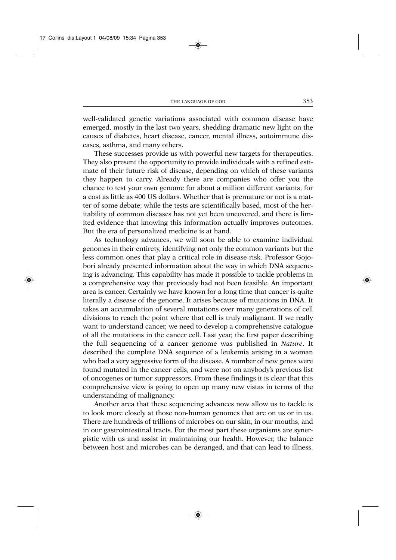well-validated genetic variations associated with common disease have emerged, mostly in the last two years, shedding dramatic new light on the causes of diabetes, heart disease, cancer, mental illness, autoimmune diseases, asthma, and many others.

These successes provide us with powerful new targets for therapeutics. They also present the opportunity to provide individuals with a refined estimate of their future risk of disease, depending on which of these variants they happen to carry. Already there are companies who offer you the chance to test your own genome for about a million different variants, for a cost as little as 400 US dollars. Whether that is premature or not is a matter of some debate; while the tests are scientifically based, most of the heritability of common diseases has not yet been uncovered, and there is limited evidence that knowing this information actually improves outcomes. But the era of personalized medicine is at hand.

As technology advances, we will soon be able to examine individual genomes in their entirety, identifying not only the common variants but the less common ones that play a critical role in disease risk. Professor Gojobori already presented information about the way in which DNA sequencing is advancing. This capability has made it possible to tackle problems in a comprehensive way that previously had not been feasible. An important area is cancer. Certainly we have known for a long time that cancer is quite literally a disease of the genome. It arises because of mutations in DNA. It takes an accumulation of several mutations over many generations of cell divisions to reach the point where that cell is truly malignant. If we really want to understand cancer, we need to develop a comprehensive catalogue of all the mutations in the cancer cell. Last year, the first paper describing the full sequencing of a cancer genome was published in *Nature*. It described the complete DNA sequence of a leukemia arising in a woman who had a very aggressive form of the disease. A number of new genes were found mutated in the cancer cells, and were not on anybody's previous list of oncogenes or tumor suppressors. From these findings it is clear that this comprehensive view is going to open up many new vistas in terms of the understanding of malignancy.

Another area that these sequencing advances now allow us to tackle is to look more closely at those non-human genomes that are on us or in us. There are hundreds of trillions of microbes on our skin, in our mouths, and in our gastrointestinal tracts. For the most part these organisms are synergistic with us and assist in maintaining our health. However, the balance between host and microbes can be deranged, and that can lead to illness.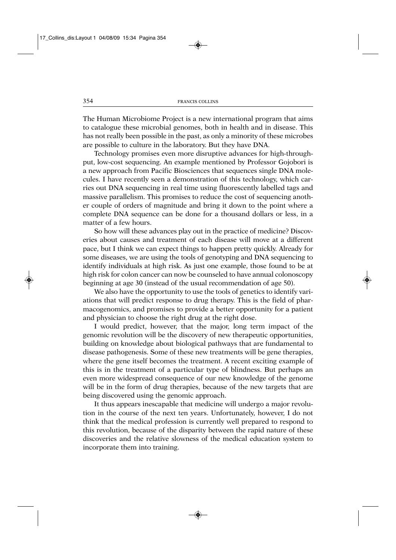The Human Microbiome Project is a new international program that aims to catalogue these microbial genomes, both in health and in disease. This has not really been possible in the past, as only a minority of these microbes are possible to culture in the laboratory. But they have DNA.

Technology promises even more disruptive advances for high-throughput, low-cost sequencing. An example mentioned by Professor Gojobori is a new approach from Pacific Biosciences that sequences single DNA molecules. I have recently seen a demonstration of this technology, which carries out DNA sequencing in real time using fluorescently labelled tags and massive parallelism. This promises to reduce the cost of sequencing another couple of orders of magnitude and bring it down to the point where a complete DNA sequence can be done for a thousand dollars or less, in a matter of a few hours.

So how will these advances play out in the practice of medicine? Discoveries about causes and treatment of each disease will move at a different pace, but I think we can expect things to happen pretty quickly. Already for some diseases, we are using the tools of genotyping and DNA sequencing to identify individuals at high risk. As just one example, those found to be at high risk for colon cancer can now be counseled to have annual colonoscopy beginning at age 30 (instead of the usual recommendation of age 50).

We also have the opportunity to use the tools of genetics to identify variations that will predict response to drug therapy. This is the field of pharmacogenomics, and promises to provide a better opportunity for a patient and physician to choose the right drug at the right dose.

I would predict, however, that the major, long term impact of the genomic revolution will be the discovery of new therapeutic opportunities, building on knowledge about biological pathways that are fundamental to disease pathogenesis. Some of these new treatments will be gene therapies, where the gene itself becomes the treatment. A recent exciting example of this is in the treatment of a particular type of blindness. But perhaps an even more widespread consequence of our new knowledge of the genome will be in the form of drug therapies, because of the new targets that are being discovered using the genomic approach.

It thus appears inescapable that medicine will undergo a major revolution in the course of the next ten years. Unfortunately, however, I do not think that the medical profession is currently well prepared to respond to this revolution, because of the disparity between the rapid nature of these discoveries and the relative slowness of the medical education system to incorporate them into training.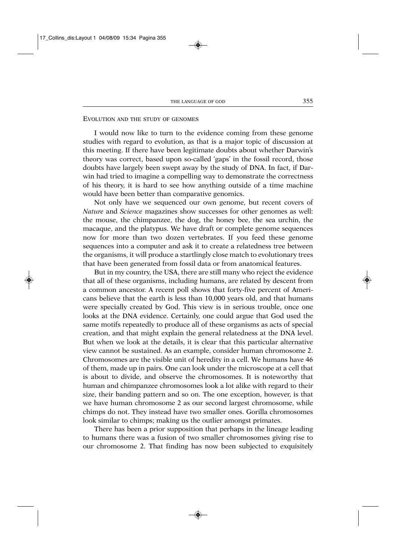## EVOLUTION AND THE STUDY OF GENOMES

I would now like to turn to the evidence coming from these genome studies with regard to evolution, as that is a major topic of discussion at this meeting. If there have been legitimate doubts about whether Darwin's theory was correct, based upon so-called 'gaps' in the fossil record, those doubts have largely been swept away by the study of DNA. In fact, if Darwin had tried to imagine a compelling way to demonstrate the correctness of his theory, it is hard to see how anything outside of a time machine would have been better than comparative genomics.

Not only have we sequenced our own genome, but recent covers of *Nature* and *Science* magazines show successes for other genomes as well: the mouse, the chimpanzee, the dog, the honey bee, the sea urchin, the macaque, and the platypus. We have draft or complete genome sequences now for more than two dozen vertebrates. If you feed these genome sequences into a computer and ask it to create a relatedness tree between the organisms, it will produce a startlingly close match to evolutionary trees that have been generated from fossil data or from anatomical features.

But in my country, the USA, there are still many who reject the evidence that all of these organisms, including humans, are related by descent from a common ancestor. A recent poll shows that forty-five percent of Americans believe that the earth is less than 10,000 years old, and that humans were specially created by God. This view is in serious trouble, once one looks at the DNA evidence. Certainly, one could argue that God used the same motifs repeatedly to produce all of these organisms as acts of special creation, and that might explain the general relatedness at the DNA level. But when we look at the details, it is clear that this particular alternative view cannot be sustained. As an example, consider human chromosome 2. Chromosomes are the visible unit of heredity in a cell. We humans have 46 of them, made up in pairs. One can look under the microscope at a cell that is about to divide, and observe the chromosomes. It is noteworthy that human and chimpanzee chromosomes look a lot alike with regard to their size, their banding pattern and so on. The one exception, however, is that we have human chromosome 2 as our second largest chromosome, while chimps do not. They instead have two smaller ones. Gorilla chromosomes look similar to chimps; making us the outlier amongst primates.

There has been a prior supposition that perhaps in the lineage leading to humans there was a fusion of two smaller chromosomes giving rise to our chromosome 2. That finding has now been subjected to exquisitely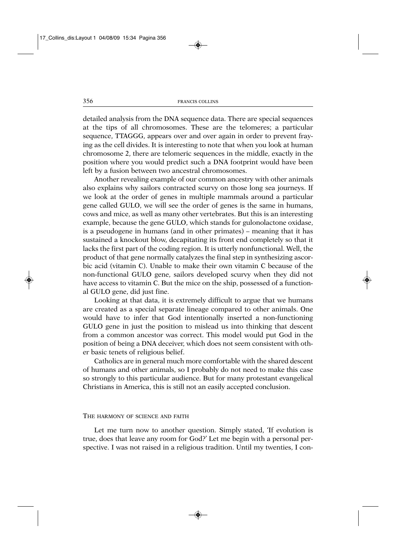detailed analysis from the DNA sequence data. There are special sequences at the tips of all chromosomes. These are the telomeres; a particular sequence, TTAGGG, appears over and over again in order to prevent fraying as the cell divides. It is interesting to note that when you look at human chromosome 2, there are telomeric sequences in the middle, exactly in the position where you would predict such a DNA footprint would have been left by a fusion between two ancestral chromosomes.

Another revealing example of our common ancestry with other animals also explains why sailors contracted scurvy on those long sea journeys. If we look at the order of genes in multiple mammals around a particular gene called GULO, we will see the order of genes is the same in humans, cows and mice, as well as many other vertebrates. But this is an interesting example, because the gene GULO, which stands for gulonolactone oxidase, is a pseudogene in humans (and in other primates) – meaning that it has sustained a knockout blow, decapitating its front end completely so that it lacks the first part of the coding region. It is utterly nonfunctional. Well, the product of that gene normally catalyzes the final step in synthesizing ascorbic acid (vitamin C). Unable to make their own vitamin C because of the non-functional GULO gene, sailors developed scurvy when they did not have access to vitamin C. But the mice on the ship, possessed of a functional GULO gene, did just fine.

Looking at that data, it is extremely difficult to argue that we humans are created as a special separate lineage compared to other animals. One would have to infer that God intentionally inserted a non-functioning GULO gene in just the position to mislead us into thinking that descent from a common ancestor was correct. This model would put God in the position of being a DNA deceiver, which does not seem consistent with other basic tenets of religious belief.

Catholics are in general much more comfortable with the shared descent of humans and other animals, so I probably do not need to make this case so strongly to this particular audience. But for many protestant evangelical Christians in America, this is still not an easily accepted conclusion.

## THE HARMONY OF SCIENCE AND FAITH

Let me turn now to another question. Simply stated, 'If evolution is true, does that leave any room for God?' Let me begin with a personal perspective. I was not raised in a religious tradition. Until my twenties, I con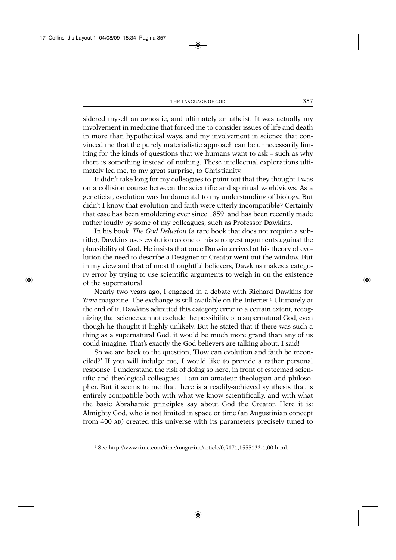sidered myself an agnostic, and ultimately an atheist. It was actually my involvement in medicine that forced me to consider issues of life and death in more than hypothetical ways, and my involvement in science that convinced me that the purely materialistic approach can be unnecessarily limiting for the kinds of questions that we humans want to ask – such as why there is something instead of nothing. These intellectual explorations ultimately led me, to my great surprise, to Christianity.

It didn't take long for my colleagues to point out that they thought I was on a collision course between the scientific and spiritual worldviews. As a geneticist, evolution was fundamental to my understanding of biology. But didn't I know that evolution and faith were utterly incompatible? Certainly that case has been smoldering ever since 1859, and has been recently made rather loudly by some of my colleagues, such as Professor Dawkins.

In his book, *The God Delusion* (a rare book that does not require a subtitle), Dawkins uses evolution as one of his strongest arguments against the plausibility of God. He insists that once Darwin arrived at his theory of evolution the need to describe a Designer or Creator went out the window. But in my view and that of most thoughtful believers, Dawkins makes a category error by trying to use scientific arguments to weigh in on the existence of the supernatural.

Nearly two years ago, I engaged in a debate with Richard Dawkins for *Time* magazine. The exchange is still available on the Internet.<sup>1</sup> Ultimately at the end of it, Dawkins admitted this category error to a certain extent, recognizing that science cannot exclude the possibility of a supernatural God, even though he thought it highly unlikely. But he stated that if there was such a thing as a supernatural God, it would be much more grand than any of us could imagine. That's exactly the God believers are talking about, I said!

So we are back to the question, 'How can evolution and faith be reconciled?' If you will indulge me, I would like to provide a rather personal response. I understand the risk of doing so here, in front of esteemed scientific and theological colleagues. I am an amateur theologian and philosopher. But it seems to me that there is a readily-achieved synthesis that is entirely compatible both with what we know scientifically, and with what the basic Abrahamic principles say about God the Creator. Here it is: Almighty God, who is not limited in space or time (an Augustinian concept from 400 AD) created this universe with its parameters precisely tuned to

<sup>1</sup> See http://www.time.com/time/magazine/article/0,9171,1555132-1,00.html.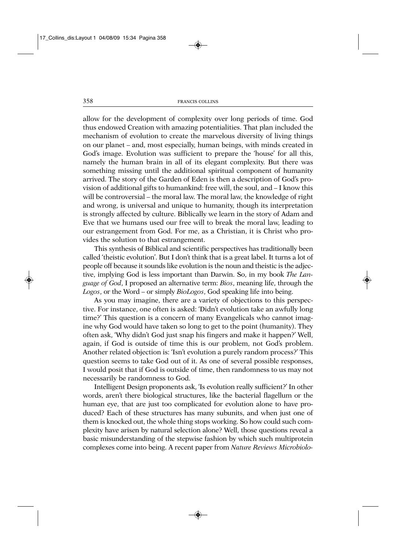allow for the development of complexity over long periods of time. God thus endowed Creation with amazing potentialities. That plan included the mechanism of evolution to create the marvelous diversity of living things on our planet – and, most especially, human beings, with minds created in God's image. Evolution was sufficient to prepare the 'house' for all this, namely the human brain in all of its elegant complexity. But there was something missing until the additional spiritual component of humanity arrived. The story of the Garden of Eden is then a description of God's provision of additional gifts to humankind: free will, the soul, and – I know this will be controversial – the moral law. The moral law, the knowledge of right and wrong, is universal and unique to humanity, though its interpretation is strongly affected by culture. Biblically we learn in the story of Adam and Eve that we humans used our free will to break the moral law, leading to our estrangement from God. For me, as a Christian, it is Christ who provides the solution to that estrangement.

This synthesis of Biblical and scientific perspectives has traditionally been called 'theistic evolution'. But I don't think that is a great label. It turns a lot of people off because it sounds like evolution is the noun and theistic is the adjective, implying God is less important than Darwin. So, in my book *The Language of God*, I proposed an alternative term: *Bios*, meaning life, through the *Logos*, or the Word – or simply *BioLogos*, God speaking life into being.

As you may imagine, there are a variety of objections to this perspective. For instance, one often is asked: 'Didn't evolution take an awfully long time?' This question is a concern of many Evangelicals who cannot imagine why God would have taken so long to get to the point (humanity). They often ask, 'Why didn't God just snap his fingers and make it happen?' Well, again, if God is outside of time this is our problem, not God's problem. Another related objection is: 'Isn't evolution a purely random process?' This question seems to take God out of it. As one of several possible responses, I would posit that if God is outside of time, then randomness to us may not necessarily be randomness to God.

Intelligent Design proponents ask, 'Is evolution really sufficient?' In other words, aren't there biological structures, like the bacterial flagellum or the human eye, that are just too complicated for evolution alone to have produced? Each of these structures has many subunits, and when just one of them is knocked out, the whole thing stops working. So how could such complexity have arisen by natural selection alone? Well, those questions reveal a basic misunderstanding of the stepwise fashion by which such multiprotein complexes come into being. A recent paper from *Nature Reviews Microbiolo-*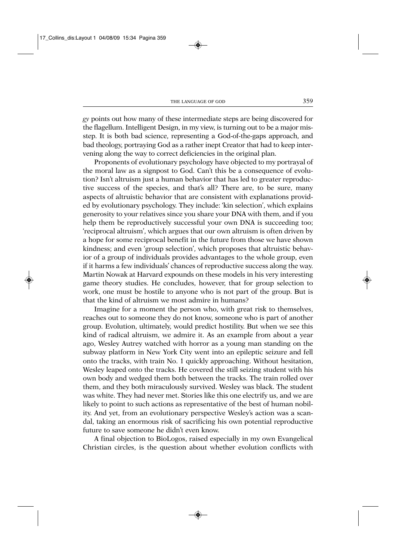*gy* points out how many of these intermediate steps are being discovered for the flagellum. Intelligent Design, in my view, is turning out to be a major misstep. It is both bad science, representing a God-of-the-gaps approach, and bad theology, portraying God as a rather inept Creator that had to keep intervening along the way to correct deficiencies in the original plan.

Proponents of evolutionary psychology have objected to my portrayal of the moral law as a signpost to God. Can't this be a consequence of evolution? Isn't altruism just a human behavior that has led to greater reproductive success of the species, and that's all? There are, to be sure, many aspects of altruistic behavior that are consistent with explanations provided by evolutionary psychology. They include: 'kin selection', which explains generosity to your relatives since you share your DNA with them, and if you help them be reproductively successful your own DNA is succeeding too; 'reciprocal altruism', which argues that our own altruism is often driven by a hope for some reciprocal benefit in the future from those we have shown kindness; and even 'group selection', which proposes that altruistic behavior of a group of individuals provides advantages to the whole group, even if it harms a few individuals' chances of reproductive success along the way. Martin Nowak at Harvard expounds on these models in his very interesting game theory studies. He concludes, however, that for group selection to work, one must be hostile to anyone who is not part of the group. But is that the kind of altruism we most admire in humans?

Imagine for a moment the person who, with great risk to themselves, reaches out to someone they do not know, someone who is part of another group. Evolution, ultimately, would predict hostility. But when we see this kind of radical altruism, we admire it. As an example from about a year ago, Wesley Autrey watched with horror as a young man standing on the subway platform in New York City went into an epileptic seizure and fell onto the tracks, with train No. 1 quickly approaching. Without hesitation, Wesley leaped onto the tracks. He covered the still seizing student with his own body and wedged them both between the tracks. The train rolled over them, and they both miraculously survived. Wesley was black. The student was white. They had never met. Stories like this one electrify us, and we are likely to point to such actions as representative of the best of human nobility. And yet, from an evolutionary perspective Wesley's action was a scandal, taking an enormous risk of sacrificing his own potential reproductive future to save someone he didn't even know.

A final objection to BioLogos, raised especially in my own Evangelical Christian circles, is the question about whether evolution conflicts with